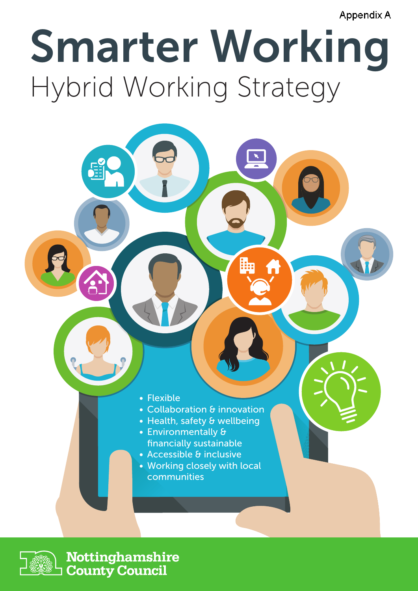**Appendix A** 

# Smarter Working Hybrid Working Strategy

- Flexible
- Collaboration & innovation
- Health, safety & wellbeing
- Environmentally & financially sustainable
- Accessible & inclusive
- Working closely with local communities



E

Nottinghamshire **County Council**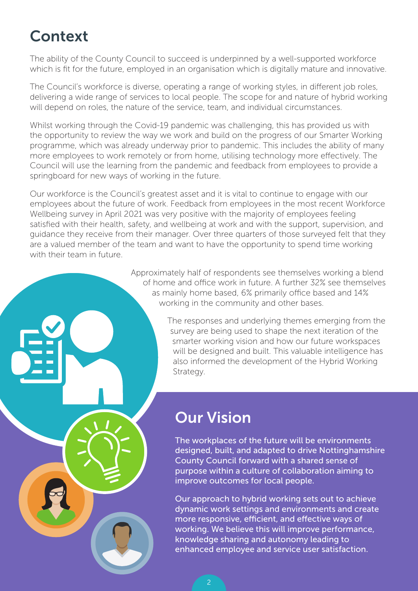# Context

The ability of the County Council to succeed is underpinned by a well-supported workforce which is fit for the future, employed in an organisation which is digitally mature and innovative.

The Council's workforce is diverse, operating a range of working styles, in different job roles, delivering a wide range of services to local people. The scope for and nature of hybrid working will depend on roles, the nature of the service, team, and individual circumstances.

Whilst working through the Covid-19 pandemic was challenging, this has provided us with the opportunity to review the way we work and build on the progress of our Smarter Working programme, which was already underway prior to pandemic. This includes the ability of many more employees to work remotely or from home, utilising technology more effectively. The Council will use the learning from the pandemic and feedback from employees to provide a springboard for new ways of working in the future.

Our workforce is the Council's greatest asset and it is vital to continue to engage with our employees about the future of work. Feedback from employees in the most recent Workforce Wellbeing survey in April 2021 was very positive with the majority of employees feeling satisfied with their health, safety, and wellbeing at work and with the support, supervision, and guidance they receive from their manager. Over three quarters of those surveyed felt that they are a valued member of the team and want to have the opportunity to spend time working with their team in future.

> Approximately half of respondents see themselves working a blend of home and office work in future. A further 32% see themselves as mainly home based, 6% primarily office based and 14% working in the community and other bases.

> > The responses and underlying themes emerging from the survey are being used to shape the next iteration of the smarter working vision and how our future workspaces will be designed and built. This valuable intelligence has also informed the development of the Hybrid Working Strategy.

### Our Vision

The workplaces of the future will be environments designed, built, and adapted to drive Nottinghamshire County Council forward with a shared sense of purpose within a culture of collaboration aiming to improve outcomes for local people.

Our approach to hybrid working sets out to achieve dynamic work settings and environments and create more responsive, efficient, and effective ways of working. We believe this will improve performance, knowledge sharing and autonomy leading to enhanced employee and service user satisfaction.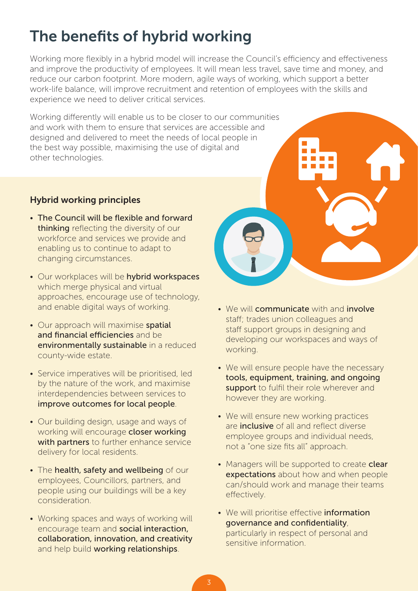# The benefits of hybrid working

Working more flexibly in a hybrid model will increase the Council's efficiency and effectiveness and improve the productivity of employees. It will mean less travel, save time and money, and reduce our carbon footprint. More modern, agile ways of working, which support a better work-life balance, will improve recruitment and retention of employees with the skills and experience we need to deliver critical services.

Working differently will enable us to be closer to our communities and work with them to ensure that services are accessible and designed and delivered to meet the needs of local people in the best way possible, maximising the use of digital and other technologies.

#### Hybrid working principles

- The Council will be flexible and forward thinking reflecting the diversity of our workforce and services we provide and enabling us to continue to adapt to changing circumstances.
- Our workplaces will be hybrid workspaces which merge physical and virtual approaches, encourage use of technology, and enable digital ways of working.
- Our approach will maximise spatial and financial efficiencies and beenvironmentally sustainable in a reduced county-wide estate.
- Service imperatives will be prioritised, led by the nature of the work, and maximise interdependencies between services to improve outcomes for local people.
- Our building design, usage and ways of working will encourage closer working with partners to further enhance service delivery for local residents.
- The health, safety and wellbeing of our employees, Councillors, partners, and people using our buildings will be a key consideration.
- Working spaces and ways of working will encourage team and social interaction, collaboration, innovation, and creativity and help build working relationships.



- We will communicate with and involve staff; trades union colleagues and staff support groups in designing and developing our workspaces and ways of working.
- We will ensure people have the necessary tools, equipment, training, and ongoing support to fulfil their role wherever and however they are working.
- We will ensure new working practices are inclusive of all and reflect diverse employee groups and individual needs, not a "one size fits all" approach.
- Managers will be supported to create clear expectations about how and when people can/should work and manage their teams effectively.
- We will prioritise effective information governance and confidentiality, particularly in respect of personal and sensitive information.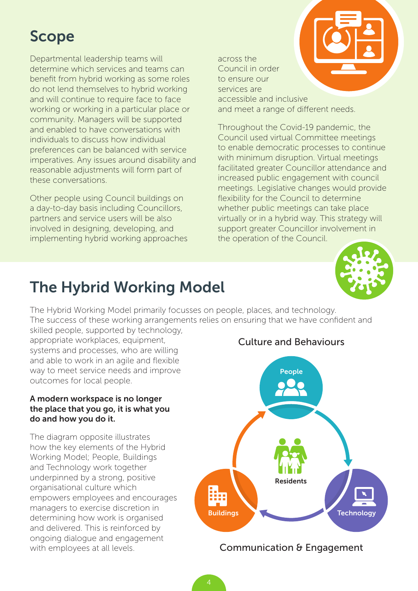# Scope

Departmental leadership teams will determine which services and teams can benefit from hybrid working as some roles do not lend themselves to hybrid working and will continue to require face to face working or working in a particular place or community. Managers will be supported and enabled to have conversations with individuals to discuss how individual preferences can be balanced with service imperatives. Any issues around disability and reasonable adjustments will form part of these conversations.

Other people using Council buildings on a day-to-day basis including Councillors, partners and service users will be also involved in designing, developing, and implementing hybrid working approaches across the Council in order to ensure our services are accessible and inclusive and meet a range of different needs.

Throughout the Covid-19 pandemic, the Council used virtual Committee meetings to enable democratic processes to continue with minimum disruption. Virtual meetings facilitated greater Councillor attendance and increased public engagement with council meetings. Legislative changes would provide flexibility for the Council to determine whether public meetings can take place virtually or in a hybrid way. This strategy will support greater Councillor involvement in the operation of the Council.



### The Hybrid Working Model

The Hybrid Working Model primarily focusses on people, places, and technology. The success of these working arrangements relies on ensuring that we have confident and

skilled people, supported by technology, appropriate workplaces, equipment, systems and processes, who are willing and able to work in an agile and flexible way to meet service needs and improve outcomes for local people.

#### A modern workspace is no longer the place that you go, it is what you do and how you do it.

The diagram opposite illustrates how the key elements of the Hybrid Working Model; People, Buildings and Technology work together underpinned by a strong, positive organisational culture which empowers employees and encourages managers to exercise discretion in determining how work is organised and delivered. This is reinforced by ongoing dialogue and engagement with employees at all levels.

#### Culture and Behaviours



#### Communication & Engagement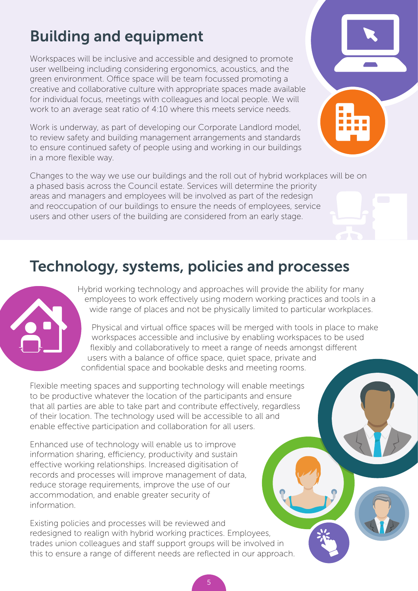# Building and equipment

Workspaces will be inclusive and accessible and designed to promote user wellbeing including considering ergonomics, acoustics, and the green environment. Office space will be team focussed promoting a creative and collaborative culture with appropriate spaces made available for individual focus, meetings with colleagues and local people. We will work to an average seat ratio of 4:10 where this meets service needs.

Work is underway, as part of developing our Corporate Landlord model, to review safety and building management arrangements and standards to ensure continued safety of people using and working in our buildings in a more flexible way.

Changes to the way we use our buildings and the roll out of hybrid workplaces will be on a phased basis across the Council estate. Services will determine the priority areas and managers and employees will be involved as part of the redesign and reoccupation of our buildings to ensure the needs of employees, service users and other users of the building are considered from an early stage.

### Technology, systems, policies and processes



Hybrid working technology and approaches will provide the ability for many employees to work effectively using modern working practices and tools in a wide range of places and not be physically limited to particular workplaces.

Physical and virtual office spaces will be merged with tools in place to make workspaces accessible and inclusive by enabling workspaces to be used flexibly and collaboratively to meet a range of needs amongst different users with a balance of office space, quiet space, private and confidential space and bookable desks and meeting rooms.

Flexible meeting spaces and supporting technology will enable meetings to be productive whatever the location of the participants and ensure that all parties are able to take part and contribute effectively, regardless of their location. The technology used will be accessible to all and enable effective participation and collaboration for all users.

Enhanced use of technology will enable us to improve information sharing, efficiency, productivity and sustain effective working relationships. Increased digitisation of records and processes will improve management of data, reduce storage requirements, improve the use of our accommodation, and enable greater security of information.

Existing policies and processes will be reviewed and redesigned to realign with hybrid working practices. Employees, trades union colleagues and staff support groups will be involved in this to ensure a range of different needs are reflected in our approach.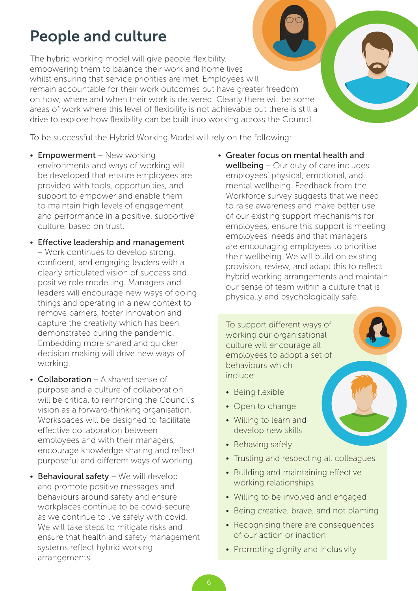### People and culture

The hybrid working model will give people flexibility, empowering them to balance their work and home lives whilst ensuring that service priorities are met. Employees will remain accountable for their work outcomes but have greater freedom on how, where and when their work is delivered. Clearly there will be some areas of work where this level of flexibility is not achievable but there is still a drive to explore how flexibility can be built into working across the Council.

To be successful the Hybrid Working Model will rely on the following:

- Empowerment New working environments and ways of working will be developed that ensure employees are provided with tools, opportunities, and support to empower and enable them to maintain high levels of engagement and performance in a positive, supportive culture, based on trust.
- Effective leadership and management – Work continues to develop strong, confident, and engaging leaders with a clearly articulated vision of success and positive role modelling. Managers and leaders will encourage new ways of doing things and operating in a new context to remove barriers, foster innovation and capture the creativity which has been demonstrated during the pandemic. Embedding more shared and quicker decision making will drive new ways of working.
- Collaboration A shared sense of purpose and a culture of collaboration will be critical to reinforcing the Council's vision as a forward-thinking organisation. Workspaces will be designed to facilitate effective collaboration between employees and with their managers, encourage knowledge sharing and reflect purposeful and different ways of working.
- $\bullet$  Behavioural safety We will develop and promote positive messages and behaviours around safety and ensure workplaces continue to be covid-secure as we continue to live safely with covid. We will take steps to mitigate risks and ensure that health and safety management systems reflect hybrid working arrangements.

• Greater focus on mental health and wellbeing – Our duty of care includes employees' physical, emotional, and mental wellbeing. Feedback from the Workforce survey suggests that we need to raise awareness and make better use of our existing support mechanisms for employees, ensure this support is meeting employees' needs and that managers are encouraging employees to prioritise their wellbeing. We will build on existing provision, review, and adapt this to reflect hybrid working arrangements and maintain our sense of team within a culture that is physically and psychologically safe.

To support different ways of working our organisational culture will encourage all employees to adopt a set of behaviours which include:

- Being flexible
- Open to change
- Willing to learn and develop new skills
- Behaving safely
- Trusting and respecting all colleagues
- Building and maintaining effective working relationships
- Willing to be involved and engaged
- Being creative, brave, and not blaming
- Recognising there are consequences of our action or inaction
- Promoting dignity and inclusivity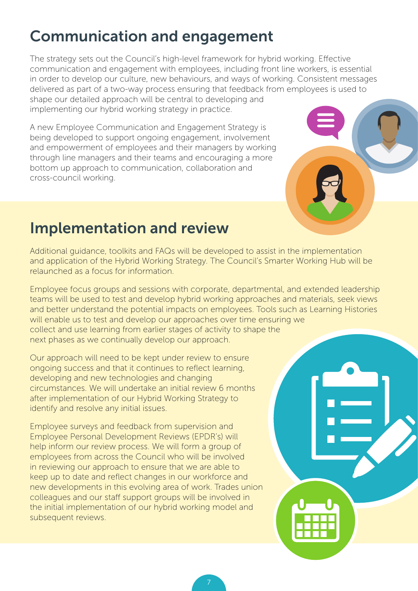### Communication and engagement

The strategy sets out the Council's high-level framework for hybrid working. Effective communication and engagement with employees, including front line workers, is essential in order to develop our culture, new behaviours, and ways of working. Consistent messages delivered as part of a two-way process ensuring that feedback from employees is used to shape our detailed approach will be central to developing and implementing our hybrid working strategy in practice.

A new Employee Communication and Engagement Strategy is being developed to support ongoing engagement, involvement and empowerment of employees and their managers by working through line managers and their teams and encouraging a more bottom up approach to communication, collaboration and cross-council working.



### Implementation and review

Additional guidance, toolkits and FAQs will be developed to assist in the implementation and application of the Hybrid Working Strategy. The Council's Smarter Working Hub will be relaunched as a focus for information.

Employee focus groups and sessions with corporate, departmental, and extended leadership teams will be used to test and develop hybrid working approaches and materials, seek views and better understand the potential impacts on employees. Tools such as Learning Histories will enable us to test and develop our approaches over time ensuring we collect and use learning from earlier stages of activity to shape the next phases as we continually develop our approach.

Our approach will need to be kept under review to ensure ongoing success and that it continues to reflect learning, developing and new technologies and changing circumstances. We will undertake an initial review 6 months after implementation of our Hybrid Working Strategy to identify and resolve any initial issues.

Employee surveys and feedback from supervision and Employee Personal Development Reviews (EPDR's) will help inform our review process. We will form a group of employees from across the Council who will be involved in reviewing our approach to ensure that we are able to keep up to date and reflect changes in our workforce and new developments in this evolving area of work. Trades union colleagues and our staff support groups will be involved in the initial implementation of our hybrid working model and subsequent reviews.